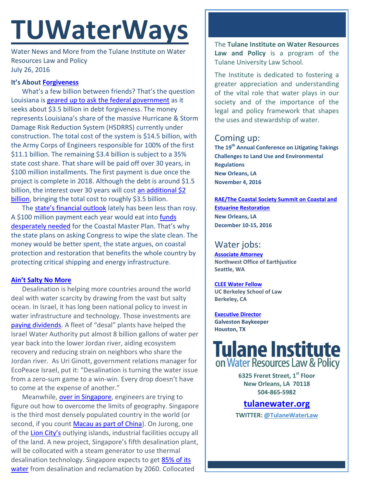# **TUWaterWays**

Water News and More from the Tulane Institute on Water Resources Law and Policy July 26, 2016

## **It's About [Forgiveness](http://www.youtube.com/watch?v=6YuOCM2V-Uk&t=1m41s)**

What's a few billion between friends? That's the question Louisiana is [geared up to ask the federal government](http://thelensnola.org/2016/07/25/with-a-huge-bill-about-to-come-due-state-will-ask-feds-to-forgive-debt-for-new-levess/) as it seeks about \$3.5 billion in debt forgiveness. The money represents Louisiana's share of the massive Hurricane & Storm Damage Risk Reduction System (HSDRRS) currently under construction. The total cost of the system is \$14.5 billion, with the Army Corps of Engineers responsible for 100% of the first \$11.1 billion. The remaining \$3.4 billion is subject to a 35% state cost share. That share will be paid off over 30 years, in \$100 million installments. The first payment is due once the project is complete in 2018. Although the debt is around \$1.5 billion, the interest over 30 years will cost an additional \$2 [billion,](http://cdn3.teen.com/wp-content/uploads/2014/08/doesnt-make-sense.gif) bringing the total cost to roughly \$3.5 billion.

The [state's financial outlook](http://parlouisiana.org/wp-content/uploads/2016/07/Regular-and-Extraordinary-Session-WrapUp-7-19-16.pdf) lately has been less than rosy. A \$100 million payment each year would eat into [funds](http://media.wix.com/ugd/32079b_300fb856888a4891bcd4e1f226e431d8.pdf)  [desperately needed](http://media.wix.com/ugd/32079b_300fb856888a4891bcd4e1f226e431d8.pdf) for the Coastal Master Plan. That's why the state plans on asking Congress to wipe the slate clean. The money would be better spent, the state argues, on coastal protection and restoration that benefits the whole country by protecting critical shipping and energy infrastructure.

### **[Ain't Salty No More](https://www.youtube.com/watch?v=Nn8lNeEaLHo)**

Desalination is helping more countries around the world deal with water scarcity by drawing from the vast but salty ocean. In Israel, it has long been national policy to invest in water infrastructure and technology. Those investments are [paying dividends.](http://www.circleofblue.org/2016/middle-east/israels-mediterranean-desalination-plants-shift-regional-water-balance/) A fleet of "desal" plants have helped the Israel Water Authority put almost 8 billion gallons of water per year back into the lower Jordan river, aiding ecosystem recovery and reducing strain on neighbors who share the Jordan river. As Uri Ginott, government relations manager for EcoPeace Israel, put it: "Desalination is turning the water issue from a zero-sum game to a win-win. Every drop doesn't have to come at the expense of another."

Meanwhile, [over in Singapore,](http://www.waterworld.com/articles/wwi/2016/07/singapore-s-5th-desalination-plant-on-jurong-island-what-we-know-so-far.html) engineers are trying to figure out how to overcome the limits of geography. Singapore is the third most densely populated country in the world (or second, if you count [Macau as part of China\)](http://www.nationsonline.org/oneworld/macau.htm). On Jurong, one of the [Lion City's](http://vacationio.com/wp-content/uploads/2015/12/Merlion-Singapore.jpg) outlying islands, industrial facilities occupy all of the land. A new project, Singapore's fifth desalination plant, will be collocated with a steam generator to use thermal desalination technology. Singapore expects to get 85% of its [water](https://www.pub.gov.sg/watersupply/singaporewaterstory) from desalination and reclamation by 2060. Collocated

The **Tulane Institute on Water Resources Law and Policy** is a program of the Tulane University Law School.

The Institute is dedicated to fostering a greater appreciation and understanding of the vital role that water plays in our society and of the importance of the legal and policy framework that shapes the uses and stewardship of water.

# Coming up:

**The 19th Annual Conference on Litigating Takings Challenges to Land Use and Environmental Regulations New Orleans, LA November 4, 2016**

**[RAE/The Coastal Society Summit on Coastal and](https://www.estuaries.org/images/NOLA_2016/2016-Summit-CFP_FINAL-011516.pdf)  [Estuarine Restoration](https://www.estuaries.org/images/NOLA_2016/2016-Summit-CFP_FINAL-011516.pdf) New Orleans, LA December 10-15, 2016**

# Water jobs:

**[Associate Attorney](http://tulanewater.us11.list-manage1.com/track/click?u=b87c517a041f161e5ba9b4abd&id=93be59c274&e=1061668570) Northwest Office of Earthjustice Seattle, WA**

**[CLEE Water Fellow](file:///C:/Users/waterlaw/Downloads/CLEE_Water%20Fellow_July%202016.pdf) UC Berkeley School of Law Berkeley, CA**

**[Executive Director](http://www.galvestonbaykeeper.org/job_openings) Galveston Baykeeper Houston, TX**

# **Tulane Institute** on Water Resources Law & Policy

**6325 Freret Street, 1st Floor New Orleans, LA 70118 504-865-5982** 

**[tulanewater.org](file:///C:/Users/waterlaw/Downloads/tulanewater.org) TWITTER: [@TulaneWaterLaw](http://www.twitter.com/TulaneWaterLaw)**